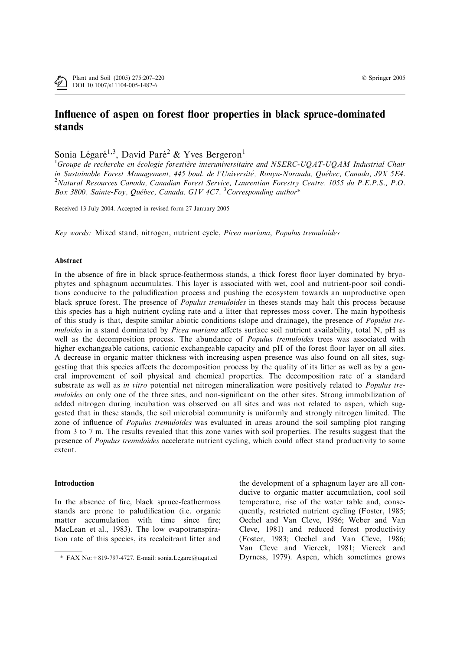# Influence of aspen on forest floor properties in black spruce-dominated stands

Sonia Légaré<sup>1,3</sup>, David Paré<sup>2</sup> & Yves Bergeron<sup>1</sup>

<sup>1</sup>Groupe de recherche en écologie forestière interuniversitaire and NSERC-UQAT-UQAM Industrial Chair in Sustainable Forest Management, 445 boul. de l'Université, Rouyn-Noranda, Québec, Canada, J9X 5E4. 2 Natural Resources Canada, Canadian Forest Service, Laurentian Forestry Centre, 1055 du P.E.P.S., P.O. Box 3800, Sainte-Foy, Québec, Canada, G1V 4C7.<sup>3</sup> Corresponding author\*

Received 13 July 2004. Accepted in revised form 27 January 2005

Key words: Mixed stand, nitrogen, nutrient cycle, Picea mariana, Populus tremuloides

#### Abstract

In the absence of fire in black spruce-feathermoss stands, a thick forest floor layer dominated by bryophytes and sphagnum accumulates. This layer is associated with wet, cool and nutrient-poor soil conditions conducive to the paludification process and pushing the ecosystem towards an unproductive open black spruce forest. The presence of Populus tremuloides in theses stands may halt this process because this species has a high nutrient cycling rate and a litter that represses moss cover. The main hypothesis of this study is that, despite similar abiotic conditions (slope and drainage), the presence of Populus tremuloides in a stand dominated by *Picea mariana* affects surface soil nutrient availability, total N, pH as well as the decomposition process. The abundance of *Populus tremuloides* trees was associated with higher exchangeable cations, cationic exchangeable capacity and pH of the forest floor layer on all sites. A decrease in organic matter thickness with increasing aspen presence was also found on all sites, suggesting that this species affects the decomposition process by the quality of its litter as well as by a general improvement of soil physical and chemical properties. The decomposition rate of a standard substrate as well as *in vitro* potential net nitrogen mineralization were positively related to *Populus tre*muloides on only one of the three sites, and non-significant on the other sites. Strong immobilization of added nitrogen during incubation was observed on all sites and was not related to aspen, which suggested that in these stands, the soil microbial community is uniformly and strongly nitrogen limited. The zone of influence of Populus tremuloides was evaluated in areas around the soil sampling plot ranging from 3 to 7 m. The results revealed that this zone varies with soil properties. The results suggest that the presence of Populus tremuloides accelerate nutrient cycling, which could affect stand productivity to some extent.

#### Introduction

In the absence of fire, black spruce-feathermoss stands are prone to paludification (i.e. organic matter accumulation with time since fire; MacLean et al., 1983). The low evapotranspiration rate of this species, its recalcitrant litter and

the development of a sphagnum layer are all conducive to organic matter accumulation, cool soil temperature, rise of the water table and, consequently, restricted nutrient cycling (Foster, 1985; Oechel and Van Cleve, 1986; Weber and Van Cleve, 1981) and reduced forest productivity (Foster, 1983; Oechel and Van Cleve, 1986; Van Cleve and Viereck, 1981; Viereck and \* FAX No:+819-797-4727. E-mail: sonia.Legare@uqat.cd Dyrness, 1979). Aspen, which sometimes grows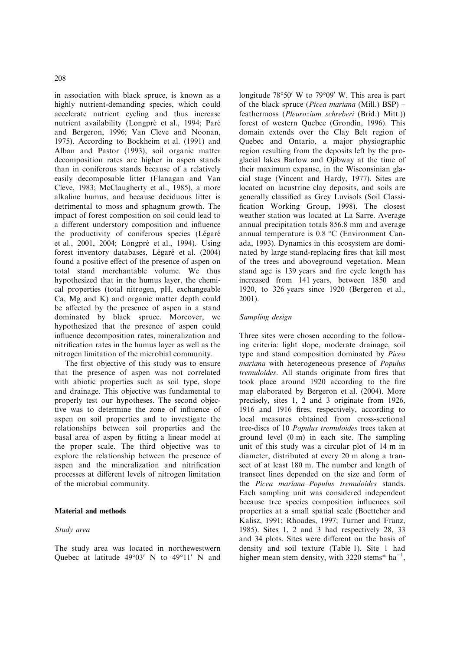in association with black spruce, is known as a highly nutrient-demanding species, which could accelerate nutrient cycling and thus increase nutrient availability (Longpré et al., 1994; Paré and Bergeron, 1996; Van Cleve and Noonan, 1975). According to Bockheim et al. (1991) and Alban and Pastor (1993), soil organic matter decomposition rates are higher in aspen stands than in coniferous stands because of a relatively easily decomposable litter (Flanagan and Van Cleve, 1983; McClaugherty et al., 1985), a more alkaline humus, and because deciduous litter is detrimental to moss and sphagnum growth. The impact of forest composition on soil could lead to a different understory composition and influence the productivity of coniferous species (Légaré et al., 2001, 2004; Longpré et al., 1994). Using forest inventory databases, Légaré et al. (2004) found a positive effect of the presence of aspen on total stand merchantable volume. We thus hypothesized that in the humus layer, the chemical properties (total nitrogen, pH, exchangeable Ca, Mg and K) and organic matter depth could be affected by the presence of aspen in a stand dominated by black spruce. Moreover, we hypothesized that the presence of aspen could influence decomposition rates, mineralization and nitrification rates in the humus layer as well as the nitrogen limitation of the microbial community.

The first objective of this study was to ensure that the presence of aspen was not correlated with abiotic properties such as soil type, slope and drainage. This objective was fundamental to properly test our hypotheses. The second objective was to determine the zone of influence of aspen on soil properties and to investigate the relationships between soil properties and the basal area of aspen by fitting a linear model at the proper scale. The third objective was to explore the relationship between the presence of aspen and the mineralization and nitrification processes at different levels of nitrogen limitation of the microbial community.

### Material and methods

#### Study area

The study area was located in northewestwern Quebec at latitude  $49^{\circ}03'$  N to  $49^{\circ}11'$  N and

longitude 78°50' W to 79°09' W. This area is part of the black spruce (*Picea mariana* (Mill.)  $BSP$ ) – feathermoss (Pleurozium schreberi (Brid.) Mitt.)) forest of western Quebec (Grondin, 1996). This domain extends over the Clay Belt region of Quebec and Ontario, a major physiographic region resulting from the deposits left by the proglacial lakes Barlow and Ojibway at the time of their maximum expanse, in the Wisconsinian glacial stage (Vincent and Hardy, 1977). Sites are located on lacustrine clay deposits, and soils are generally classified as Grey Luvisols (Soil Classification Working Group, 1998). The closest weather station was located at La Sarre. Average annual precipitation totals 856.8 mm and average annual temperature is  $0.8 \text{ °C}$  (Environment Canada, 1993). Dynamics in this ecosystem are dominated by large stand-replacing fires that kill most of the trees and aboveground vegetation. Mean stand age is 139 years and fire cycle length has increased from 141 years, between 1850 and 1920, to 326 years since 1920 (Bergeron et al., 2001).

# Sampling design

Three sites were chosen according to the following criteria: light slope, moderate drainage, soil type and stand composition dominated by Picea mariana with heterogeneous presence of Populus tremuloides. All stands originate from fires that took place around 1920 according to the fire map elaborated by Bergeron et al. (2004). More precisely, sites 1, 2 and 3 originate from 1926, 1916 and 1916 fires, respectively, according to local measures obtained from cross-sectional tree-discs of 10 Populus tremuloides trees taken at ground level (0 m) in each site. The sampling unit of this study was a circular plot of 14 m in diameter, distributed at every 20 m along a transect of at least 180 m. The number and length of transect lines depended on the size and form of the Picea mariana–Populus tremuloides stands. Each sampling unit was considered independent because tree species composition influences soil properties at a small spatial scale (Boettcher and Kalisz, 1991; Rhoades, 1997; Turner and Franz, 1985). Sites 1, 2 and 3 had respectively 28, 33 and 34 plots. Sites were different on the basis of density and soil texture (Table 1). Site 1 had higher mean stem density, with  $3220$  stems\* ha<sup>-1</sup>,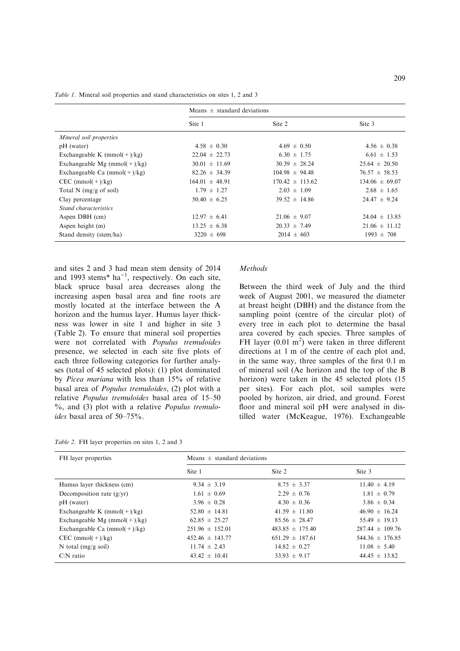Table 1. Mineral soil properties and stand characteristics on sites 1, 2 and 3

|                                  | Means $\pm$ standard deviations |                     |                    |  |
|----------------------------------|---------------------------------|---------------------|--------------------|--|
|                                  | Site 1                          | Site 2              | Site 3             |  |
| Mineral soil properties          |                                 |                     |                    |  |
| pH (water)                       | $4.58 \pm 0.30$                 | $4.69 \pm 0.50$     | $4.56 \pm 0.38$    |  |
| Exchangeable K (mmol( $+)/kg$ )  | $22.04 \pm 22.73$               | $6.30 \pm 1.75$     | $6.61 \pm 1.53$    |  |
| Exchangeable Mg $(mmol(+)/kg)$   | $30.01 \pm 11.69$               | $30.39 \pm 28.24$   | $25.64 \pm 20.50$  |  |
| Exchangeable Ca $(mmol(+)/kg)$   | $82.26 \pm 34.39$               | $104.98 \pm 94.48$  | $76.57 \pm 58.53$  |  |
| CEC (mmol $(+)/kg$ )             | $164.01 \pm 48.91$              | $170.42 \pm 113.62$ | $134.06 \pm 69.07$ |  |
| Total N $(mg/g \text{ of soil})$ | $1.79 \pm 1.27$                 | $2.03 \pm 1.09$     | $2.68 \pm 1.65$    |  |
| Clay percentage                  | $50.40 \pm 6.25$                | $39.52 \pm 14.86$   | $24.47 \pm 9.24$   |  |
| Stand characteristics            |                                 |                     |                    |  |
| Aspen DBH (cm)                   | $12.97 \pm 6.41$                | $21.06 \pm 9.07$    | $24.04 \pm 13.85$  |  |
| Aspen height (m)                 | $13.25 \pm 6.38$                | $20.33 \pm 7.49$    | $21.06 \pm 11.12$  |  |
| Stand density (stem/ha)          | $3220 \pm 698$                  | $2014 \pm 603$      | $1993 \pm 708$     |  |

and sites 2 and 3 had mean stem density of 2014 and 1993 stems\*  $ha^{-1}$ , respectively. On each site, black spruce basal area decreases along the increasing aspen basal area and fine roots are mostly located at the interface between the A horizon and the humus layer. Humus layer thickness was lower in site 1 and higher in site 3 (Table 2). To ensure that mineral soil properties were not correlated with Populus tremuloides presence, we selected in each site five plots of each three following categories for further analyses (total of 45 selected plots): (1) plot dominated by Picea mariana with less than 15% of relative basal area of Populus tremuloides, (2) plot with a relative Populus tremuloides basal area of 15–50  $\%$ , and (3) plot with a relative *Populus tremulo*ides basal area of 50–75%.

# Methods

Between the third week of July and the third week of August 2001, we measured the diameter at breast height (DBH) and the distance from the sampling point (centre of the circular plot) of every tree in each plot to determine the basal area covered by each species. Three samples of FH layer (0.01 m<sup>2</sup>) were taken in three different directions at 1 m of the centre of each plot and, in the same way, three samples of the first 0.1 m of mineral soil (Ae horizon and the top of the B horizon) were taken in the 45 selected plots (15 per sites). For each plot, soil samples were pooled by horizon, air dried, and ground. Forest floor and mineral soil pH were analysed in distilled water (McKeague, 1976). Exchangeable

Table 2. FH layer properties on sites 1, 2 and 3

| FH layer properties            | Means $\pm$ standard deviations |                     |                     |  |
|--------------------------------|---------------------------------|---------------------|---------------------|--|
|                                | Site 1                          | Site 2              | Site 3              |  |
| Humus layer thickness (cm)     | $9.34 \pm 3.19$                 | $8.75 \pm 3.37$     | $11.40 \pm 4.19$    |  |
| Decomposition rate $(g/yr)$    | $1.61 \pm 0.69$                 | $2.29 \pm 0.76$     | $1.81 \pm 0.79$     |  |
| pH (water)                     | $3.96 \pm 0.28$                 | $4.30 \pm 0.36$     | $3.86 \pm 0.34$     |  |
| Exchangeable K (mmol(+)/kg)    | $52.80 \pm 14.81$               | $41.59 \pm 11.80$   | $46.90 \pm 16.24$   |  |
| Exchangeable Mg $(mmol(+)/kg)$ | $62.85 \pm 25.27$               | $85.56 \pm 28.47$   | $55.49 \pm 19.13$   |  |
| Exchangeable Ca $(mmol(+)/kg)$ | $251.96 \pm 152.01$             | $483.85 \pm 175.40$ | $287.44 \pm 109.76$ |  |
| $CEC$ (mmol(+)/kg)             | $452.46 \pm 143.77$             | $651.29 \pm 187.61$ | $544.36 \pm 176.85$ |  |
| N total $(mg/g \text{ soil})$  | $11.74 \pm 2.43$                | $14.82 \pm 0.27$    | $11.08 \pm 5.40$    |  |
| $C:N$ ratio                    | $43.42 \pm 10.41$               | $33.93 \pm 9.17$    | $44.45 \pm 13.82$   |  |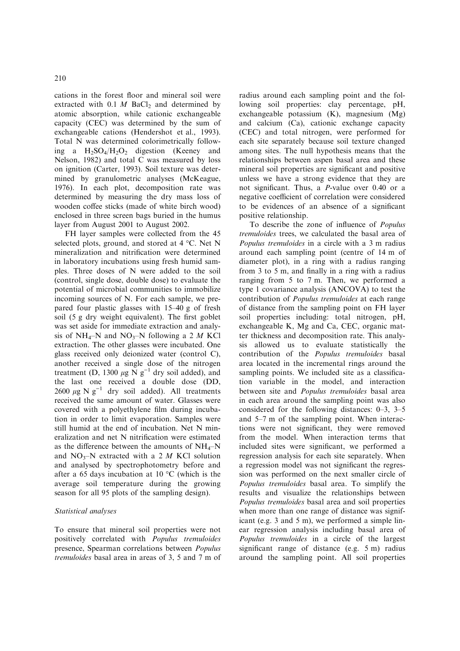cations in the forest floor and mineral soil were extracted with 0.1  $M$  BaCl<sub>2</sub> and determined by atomic absorption, while cationic exchangeable capacity (CEC) was determined by the sum of exchangeable cations (Hendershot et al., 1993). Total N was determined colorimetrically following a H2SO4/H2O2 digestion (Keeney and Nelson, 1982) and total C was measured by loss on ignition (Carter, 1993). Soil texture was determined by granulometric analyses (McKeague, 1976). In each plot, decomposition rate was determined by measuring the dry mass loss of wooden coffee sticks (made of white birch wood) enclosed in three screen bags buried in the humus layer from August 2001 to August 2002.

FH layer samples were collected from the 45 selected plots, ground, and stored at  $4^{\circ}$ C. Net N mineralization and nitrification were determined in laboratory incubations using fresh humid samples. Three doses of N were added to the soil (control, single dose, double dose) to evaluate the potential of microbial communities to immobilize incoming sources of N. For each sample, we prepared four plastic glasses with 15–40 g of fresh soil (5 g dry weight equivalent). The first goblet was set aside for immediate extraction and analysis of NH<sub>4</sub>–N and NO<sub>3</sub>–N following a 2 M KCl extraction. The other glasses were incubated. One glass received only deionized water (control C), another received a single dose of the nitrogen treatment (D, 1300  $\mu$ g N g<sup>-1</sup> dry soil added), and the last one received a double dose (DD, 2600  $\mu$ g N g<sup>-1</sup> dry soil added). All treatments received the same amount of water. Glasses were covered with a polyethylene film during incubation in order to limit evaporation. Samples were still humid at the end of incubation. Net N mineralization and net N nitrification were estimated as the difference between the amounts of  $NH_4-N$ and  $NO_3-N$  extracted with a 2 M KCl solution and analysed by spectrophotometry before and after a 65 days incubation at 10  $\rm{°C}$  (which is the average soil temperature during the growing season for all 95 plots of the sampling design).

### Statistical analyses

To ensure that mineral soil properties were not positively correlated with Populus tremuloides presence, Spearman correlations between Populus tremuloides basal area in areas of 3, 5 and 7 m of radius around each sampling point and the following soil properties: clay percentage, pH, exchangeable potassium (K), magnesium (Mg) and calcium (Ca), cationic exchange capacity (CEC) and total nitrogen, were performed for each site separately because soil texture changed among sites. The null hypothesis means that the relationships between aspen basal area and these mineral soil properties are significant and positive unless we have a strong evidence that they are not significant. Thus, a P-value over 0.40 or a negative coefficient of correlation were considered to be evidences of an absence of a significant positive relationship.

To describe the zone of influence of Populus tremuloides trees, we calculated the basal area of Populus tremuloides in a circle with a 3 m radius around each sampling point (centre of 14 m of diameter plot), in a ring with a radius ranging from 3 to 5 m, and finally in a ring with a radius ranging from 5 to 7 m. Then, we performed a type 1 covariance analysis (ANCOVA) to test the contribution of Populus tremuloides at each range of distance from the sampling point on FH layer soil properties including: total nitrogen, pH, exchangeable K, Mg and Ca, CEC, organic matter thickness and decomposition rate. This analysis allowed us to evaluate statistically the contribution of the Populus tremuloides basal area located in the incremental rings around the sampling points. We included site as a classification variable in the model, and interaction between site and Populus tremuloides basal area in each area around the sampling point was also considered for the following distances: 0–3, 3–5 and 5–7 m of the sampling point. When interactions were not significant, they were removed from the model. When interaction terms that included sites were significant, we performed a regression analysis for each site separately. When a regression model was not significant the regression was performed on the next smaller circle of Populus tremuloides basal area. To simplify the results and visualize the relationships between Populus tremuloides basal area and soil properties when more than one range of distance was significant (e.g. 3 and 5 m), we performed a simple linear regression analysis including basal area of Populus tremuloides in a circle of the largest significant range of distance (e.g. 5 m) radius around the sampling point. All soil properties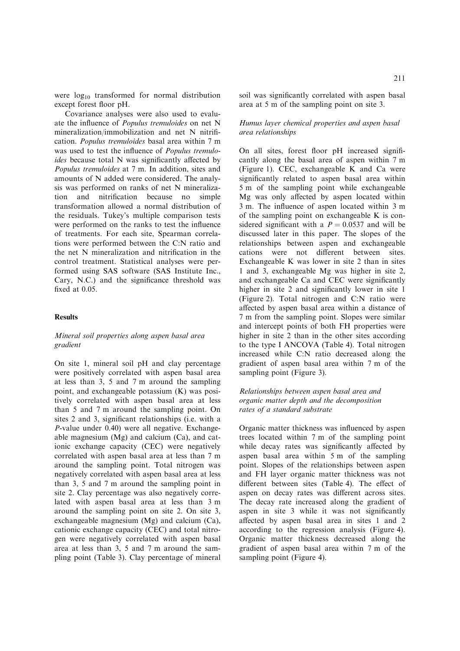were  $log_{10}$  transformed for normal distribution except forest floor pH.

Covariance analyses were also used to evaluate the influence of Populus tremuloides on net N mineralization/immobilization and net N nitrification. Populus tremuloides basal area within 7 m was used to test the influence of Populus tremuloides because total N was significantly affected by Populus tremuloides at 7 m. In addition, sites and amounts of N added were considered. The analysis was performed on ranks of net N mineralization and nitrification because no simple transformation allowed a normal distribution of the residuals. Tukey's multiple comparison tests were performed on the ranks to test the influence of treatments. For each site, Spearman correlations were performed between the C:N ratio and the net N mineralization and nitrification in the control treatment. Statistical analyses were performed using SAS software (SAS Institute Inc., Cary, N.C.) and the significance threshold was fixed at 0.05.

# Results

# Mineral soil properties along aspen basal area gradient

On site 1, mineral soil pH and clay percentage were positively correlated with aspen basal area at less than 3, 5 and 7 m around the sampling point, and exchangeable potassium (K) was positively correlated with aspen basal area at less than 5 and 7 m around the sampling point. On sites 2 and 3, significant relationships (i.e. with a P-value under 0.40) were all negative. Exchangeable magnesium (Mg) and calcium (Ca), and cationic exchange capacity (CEC) were negatively correlated with aspen basal area at less than 7 m around the sampling point. Total nitrogen was negatively correlated with aspen basal area at less than 3, 5 and 7 m around the sampling point in site 2. Clay percentage was also negatively correlated with aspen basal area at less than 3 m around the sampling point on site 2. On site 3, exchangeable magnesium (Mg) and calcium (Ca), cationic exchange capacity (CEC) and total nitrogen were negatively correlated with aspen basal area at less than 3, 5 and 7 m around the sampling point (Table 3). Clay percentage of mineral soil was significantly correlated with aspen basal area at 5 m of the sampling point on site 3.

# Humus layer chemical properties and aspen basal area relationships

On all sites, forest floor pH increased significantly along the basal area of aspen within 7 m (Figure 1). CEC, exchangeable K and Ca were significantly related to aspen basal area within 5 m of the sampling point while exchangeable Mg was only affected by aspen located within 3 m. The influence of aspen located within 3 m of the sampling point on exchangeable K is considered significant with a  $P = 0.0537$  and will be discussed later in this paper. The slopes of the relationships between aspen and exchangeable cations were not different between sites. Exchangeable K was lower in site 2 than in sites 1 and 3, exchangeable Mg was higher in site 2, and exchangeable Ca and CEC were significantly higher in site 2 and significantly lower in site 1 (Figure 2). Total nitrogen and C:N ratio were affected by aspen basal area within a distance of 7 m from the sampling point. Slopes were similar and intercept points of both FH properties were higher in site 2 than in the other sites according to the type I ANCOVA (Table 4). Total nitrogen increased while C:N ratio decreased along the gradient of aspen basal area within 7 m of the sampling point (Figure 3).

# Relationships between aspen basal area and organic matter depth and the decomposition rates of a standard substrate

Organic matter thickness was influenced by aspen trees located within 7 m of the sampling point while decay rates was significantly affected by aspen basal area within 5 m of the sampling point. Slopes of the relationships between aspen and FH layer organic matter thickness was not different between sites (Table 4). The effect of aspen on decay rates was different across sites. The decay rate increased along the gradient of aspen in site 3 while it was not significantly affected by aspen basal area in sites 1 and 2 according to the regression analysis (Figure 4). Organic matter thickness decreased along the gradient of aspen basal area within 7 m of the sampling point (Figure 4).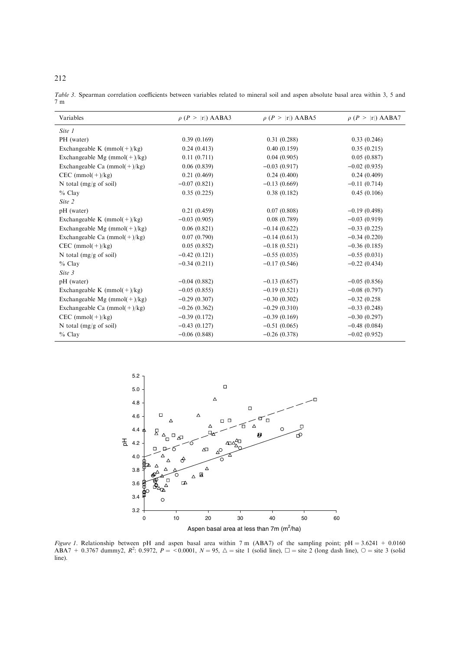Table 3. Spearman correlation coefficients between variables related to mineral soil and aspen absolute basal area within 3, 5 and 7 m

| Variables                        | $\rho$ (P >  r ) AABA3 | $\rho$ (P >  r ) AABA5 | $\rho$ (P >  r ) AABA7 |
|----------------------------------|------------------------|------------------------|------------------------|
| Site 1                           |                        |                        |                        |
| PH (water)                       | 0.39(0.169)            | 0.31(0.288)            | 0.33(0.246)            |
| Exchangeable K (mmol( $+$ )/kg)  | 0.24(0.413)            | 0.40(0.159)            | 0.35(0.215)            |
| Exchangeable Mg $(mmol(+)/kg)$   | 0.11(0.711)            | 0.04(0.905)            | 0.05(0.887)            |
| Exchangeable Ca $(mmol(+)/kg)$   | 0.06(0.839)            | $-0.03(0.917)$         | $-0.02(0.935)$         |
| $CEC (mmol(+)/kg)$               | 0.21(0.469)            | 0.24(0.400)            | 0.24(0.409)            |
| N total (mg/g of soil)           | $-0.07(0.821)$         | $-0.13(0.669)$         | $-0.11(0.714)$         |
| $%$ Clay                         | 0.35(0.225)            | 0.38(0.182)            | 0.45(0.106)            |
| Site 2                           |                        |                        |                        |
| pH (water)                       | 0.21(0.459)            | 0.07(0.808)            | $-0.19(0.498)$         |
| Exchangeable K $(mmol(+)/kg)$    | $-0.03(0.905)$         | 0.08(0.789)            | $-0.03(0.919)$         |
| Exchangeable Mg $(mmol(+)/kg)$   | 0.06(0.821)            | $-0.14(0.622)$         | $-0.33(0.225)$         |
| Exchangeable Ca $(mmol(+)/kg)$   | 0.07(0.790)            | $-0.14(0.613)$         | $-0.34(0.220)$         |
| CEC (mmol $(+)$ /kg)             | 0.05(0.852)            | $-0.18(0.521)$         | $-0.36(0.185)$         |
| N total $(mg/g \text{ of soil})$ | $-0.42(0.121)$         | $-0.55(0.035)$         | $-0.55(0.031)$         |
| $%$ Clay                         | $-0.34(0.211)$         | $-0.17(0.546)$         | $-0.22(0.434)$         |
| Site 3                           |                        |                        |                        |
| pH (water)                       | $-0.04(0.882)$         | $-0.13(0.657)$         | $-0.05(0.856)$         |
| Exchangeable K (mmol(+)/kg)      | $-0.05(0.855)$         | $-0.19(0.521)$         | $-0.08(0.797)$         |
| Exchangeable Mg $(mmol(+)/kg)$   | $-0.29(0.307)$         | $-0.30(0.302)$         | $-0.32(0.258)$         |
| Exchangeable Ca $(mmol(+)/kg)$   | $-0.26(0.362)$         | $-0.29(0.310)$         | $-0.33(0.248)$         |
| $CEC$ (mmol(+)/kg)               | $-0.39(0.172)$         | $-0.39(0.169)$         | $-0.30(0.297)$         |
| N total $(mg/g \text{ of soil})$ | $-0.43(0.127)$         | $-0.51(0.065)$         | $-0.48(0.084)$         |
| $%$ Clay                         | $-0.06(0.848)$         | $-0.26(0.378)$         | $-0.02(0.952)$         |



Figure 1. Relationship between pH and aspen basal area within 7 m (ABA7) of the sampling point; pH = 3.6241 + 0.0160<br>ABA7 + 0.3767 dummy2,  $R^2$ : 0.5972,  $P = \langle 0.0001, N = 95, \triangle = \text{site 1 (solid line)}, \square = \text{site 2 (long dash line)}, \square = \text{site 3 (solid line)}$ line).

# 212

l,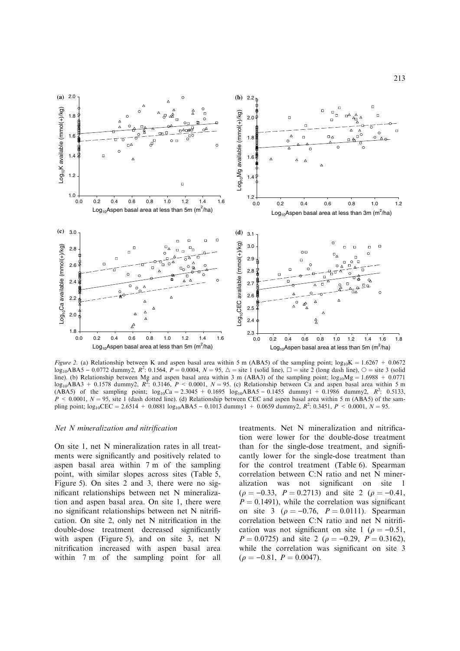

Figure 2. (a) Relationship between K and aspen basal area within 5 m (ABA5) of the sampling point;  $log_{10}K = 1.6267 + 0.0672$  $log_{10}ABA5 - 0.0772$  dummy2,  $R^2$ : 0.1564,  $P = 0.0004$ ,  $N = 95$ ,  $\Delta =$  site 1 (solid line),  $\Box =$  site 2 (long dash line),  $\Box =$  site 3 (solid line). (b) Relationship between Mg and aspen basal area within 3 m (ABA3) of the sampling point;  $\log_{10}Mg = 1.6988 + 0.0771$  $log_{10}ABA3 + 0.1578$  dummy2,  $R^2$ : 0.3146,  $P < 0.0001$ ,  $N = 95$ . (c) Relationship between Ca and aspen basal area within 5 m (ABA5) of the sampling point;  $log_{10}Ca = 2.3045 + 0.1695$   $log_{10}ABAS - 0.1455$  dummy1 + 0.1986 dummy2,  $R^2$ : 0.5133,  $P < 0.0001$ ,  $N = 95$ , site 1 (dash dotted line). (d) Relationship between CEC and aspen basal area within 5 m (ABA5) of the sampling point;  $log_{10}CEC = 2.6514 + 0.0881 log_{10}ABAS - 0.1013$  dummy1 + 0.0659 dummy2,  $R^2$ : 0.3451,  $P < 0.0001$ ,  $N = 95$ .

#### Net N mineralization and nitrification

On site 1, net N mineralization rates in all treatments were significantly and positively related to aspen basal area within 7 m of the sampling point, with similar slopes across sites (Table 5, Figure 5). On sites 2 and 3, there were no significant relationships between net N mineralization and aspen basal area. On site 1, there were no significant relationships between net N nitrification. On site 2, only net N nitrification in the double-dose treatment decreased significantly with aspen (Figure 5), and on site 3, net N nitrification increased with aspen basal area within 7 m of the sampling point for all treatments. Net N mineralization and nitrification were lower for the double-dose treatment than for the single-dose treatment, and significantly lower for the single-dose treatment than for the control treatment (Table 6). Spearman correlation between C:N ratio and net N mineralization was not significant on site 1  $(\rho = -0.33, P = 0.2713)$  and site 2 ( $\rho = -0.41$ ,  $P = 0.1491$ , while the correlation was significant on site 3 ( $\rho = -0.76$ ,  $P = 0.0111$ ). Spearman correlation between C:N ratio and net N nitrification was not significant on site 1 ( $\rho = -0.51$ ,  $P = 0.0725$  and site 2 ( $\rho = -0.29$ ,  $P = 0.3162$ ), while the correlation was significant on site 3  $(\rho = -0.81, P = 0.0047).$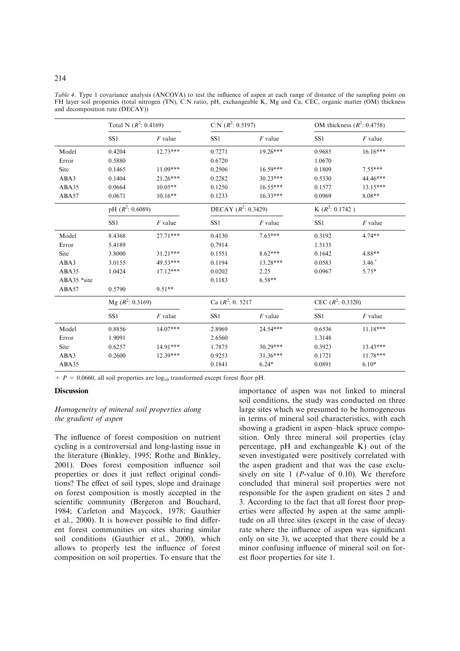|                    | Total N $(R^2: 0.4169)$ |                       | C:N $(R^2: 0.5197)$ | OM thickness $(R^2: 0.4758)$ |                     |            |
|--------------------|-------------------------|-----------------------|---------------------|------------------------------|---------------------|------------|
|                    | SS <sub>1</sub>         | $F$ value             | SS1                 | $F$ value                    | SS <sub>1</sub>     | $F$ value  |
| Model              | 0.4204                  | $12.73***$            | 0.7271              | $19.26***$                   | 0.9685              | $16.16***$ |
| Error              | 0.5880                  |                       | 0.6720              |                              | 1.0670              |            |
| Site               | 0.1465                  | $11.09***$            | 0.2506              | $16.59***$                   | 0.1809              | $7.55***$  |
| ABA3               | 0.1404                  | $21.26***$            | 0.2282              | 30.23***                     | 0.5330              | 44.46***   |
| ABA35              | 0.0664                  | $10.05**$             | 0.1250              | $16.55***$                   | 0.1577              | 13.15***   |
| ABA57              | 0.0671                  | $10.16**$             | 0.1233              | $16.33***$                   | 0.0969              | $8.08**$   |
| pH $(R^2: 0.6089)$ |                         | DECAY $(R^2: 0.3429)$ |                     | K $(R^2: 0.1742)$            |                     |            |
|                    | SS1                     | $F$ value             | SS1                 | $F$ value                    | SS <sub>1</sub>     | $F$ value  |
| Model              | 8.4368                  | $27.71***$            | 0.4130              | $7.65***$                    | 0.3192              | $4.74**$   |
| Error              | 5.4189                  |                       | 0.7914              |                              | 1.5135              |            |
| Site               | 3.8000                  | 31.21***              | 0.1551              | $8.62***$                    | 0.1642              | 4.88**     |
| ABA3               | 3.0155                  | 49.53***              | 0.1194              | 13.28***                     | 0.0583              | $3.46^{+}$ |
| ABA35              | 1.0424                  | $17.12***$            | 0.0202              | 2.25                         | 0.0967              | $5.75*$    |
| ABA35 *site        |                         |                       | 0.1183              | $6.58**$                     |                     |            |
| ABA57              | 0.5790                  | $9.51**$              |                     |                              |                     |            |
|                    | $Mg(R^2: 0.3169)$       |                       | Ca $(R^2: 0.5217)$  |                              | CEC $(R^2: 0.3320)$ |            |
|                    | SS1                     | $F$ value             | SS1                 | $F$ value                    | SS1                 | $F$ value  |
| Model              | 0.8856                  | $14.07***$            | 2.8969              | 24.54***                     | 0.6536              | $11.18***$ |
| Error              | 1.9091                  |                       | 2.6560              |                              | 1.3148              |            |
| Site               | 0.6257                  | $14.91***$            | 1.7875              | $30.29***$                   | 0.3923              | $13.43***$ |
| ABA3               | 0.2600                  | $12.39***$            | 0.9253              | $31.36***$                   | 0.1721              | $11.78***$ |
| ABA35              |                         |                       | 0.1841              | $6.24*$                      | 0.0891              | $6.10*$    |

Table 4. Type 1 covariance analysis (ANCOVA) to test the influence of aspen at each range of distance of the sampling point on FH layer soil properties (total nitrogen (TN), C:N ratio, pH, exchangeable K, Mg and Ca, CEC, organic matter (OM) thickness and decomposition rate (DECAY))

 $+ P = 0.0660$ , all soil properties are  $log_{10}$  transformed except forest floor pH.

#### **Discussion**

# Homogeneity of mineral soil properties along the gradient of aspen

The influence of forest composition on nutrient cycling is a controversial and long-lasting issue in the literature (Binkley, 1995; Rothe and Binkley, 2001). Does forest composition influence soil properties or does it just reflect original conditions? The effect of soil types, slope and drainage on forest composition is mostly accepted in the scientific community (Bergeron and Bouchard, 1984; Carleton and Maycock, 1978; Gauthier et al., 2000). It is however possible to find different forest communities on sites sharing similar soil conditions (Gauthier et al., 2000), which allows to properly test the influence of forest composition on soil properties. To ensure that the importance of aspen was not linked to mineral soil conditions, the study was conducted on three large sites which we presumed to be homogeneous in terms of mineral soil characteristics, with each showing a gradient in aspen–black spruce composition. Only three mineral soil properties (clay percentage, pH and exchangeable K) out of the seven investigated were positively correlated with the aspen gradient and that was the case exclusively on site 1 (P-value of 0.10). We therefore concluded that mineral soil properties were not responsible for the aspen gradient on sites 2 and 3. According to the fact that all forest floor properties were affected by aspen at the same amplitude on all three sites (except in the case of decay rate where the influence of aspen was significant only on site 3), we accepted that there could be a minor confusing influence of mineral soil on forest floor properties for site 1.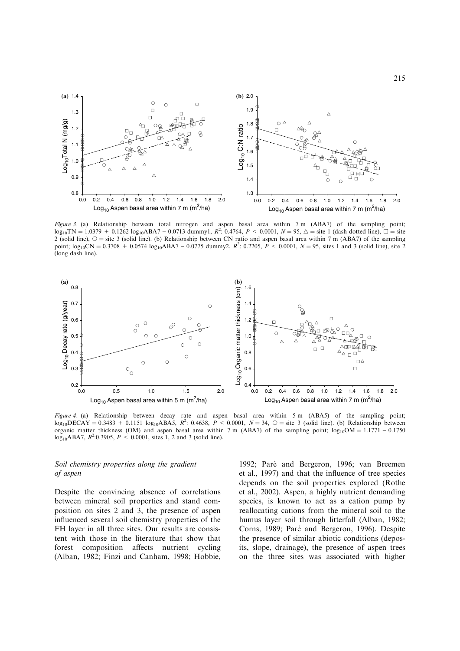

Figure 3. (a) Relationship between total nitrogen and aspen basal area within 7 m (ABA7) of the sampling point;  $log_{10}TN = 1.0379 + 0.1262 log_{10}ABA7 - 0.0713$  dummy1,  $R^2$ : 0.4764,  $P < 0.0001$ ,  $N = 95$ ,  $\triangle =$  site 1 (dash dotted line),  $\Box =$  site 2 (solid line),  $O =$  site 3 (solid line). (b) Relationship between CN ratio and aspen basal area within 7 m (ABA7) of the sampling point;  $\log_{10} CN = 0.3708 + 0.0574 \log_{10} ABA7 - 0.0775$  dummy2,  $R^2$ : 0.2205,  $P < 0.0001$ ,  $N = 95$ , sites 1 and 3 (solid line), site 2 (long dash line).



Figure 4. (a) Relationship between decay rate and aspen basal area within 5 m (ABA5) of the sampling point;  $log_{10}$ DECAY = 0.3483 + 0.1151 log<sub>10</sub>ABA5, R<sup>2</sup>: 0.4638, P < 0.0001, N = 34,  $\circ$  = site 3 (solid line). (b) Relationship between organic matter thickness (OM) and aspen basal area within 7 m (ABA7) of the sampling point;  $log_{10}OM = 1.1771 - 0.1750$ <br> $log_{10}ABA7$ ,  $R^2:0.3905$ ,  $P < 0.0001$ , sites 1, 2 and 3 (solid line).

# Soil chemistry properties along the gradient of aspen

Despite the convincing absence of correlations between mineral soil properties and stand composition on sites 2 and 3, the presence of aspen influenced several soil chemistry properties of the FH layer in all three sites. Our results are consistent with those in the literature that show that forest composition affects nutrient cycling (Alban, 1982; Finzi and Canham, 1998; Hobbie,

1992; Paré and Bergeron, 1996; van Breemen et al., 1997) and that the influence of tree species depends on the soil properties explored (Rothe et al., 2002). Aspen, a highly nutrient demanding species, is known to act as a cation pump by reallocating cations from the mineral soil to the humus layer soil through litterfall (Alban, 1982; Corns, 1989; Paré and Bergeron, 1996). Despite the presence of similar abiotic conditions (deposits, slope, drainage), the presence of aspen trees on the three sites was associated with higher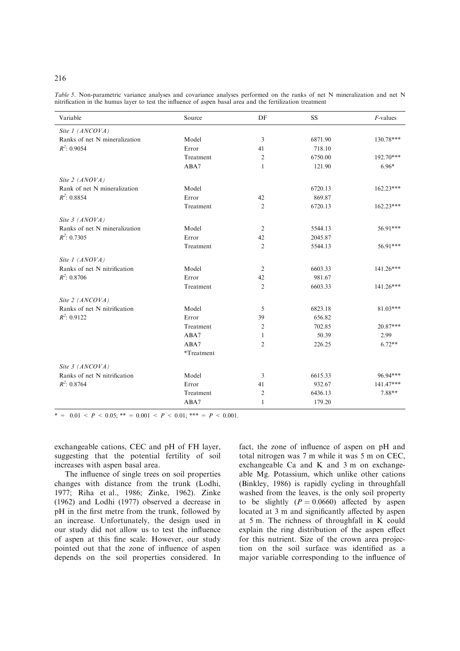Table 5. Non-parametric variance analyses and covariance analyses performed on the ranks of net N mineralization and net N nitrification in the humus layer to test the influence of aspen basal area and the fertilization treatment

| Variable                      | Source     | DF             | <b>SS</b> | $F$ -values |
|-------------------------------|------------|----------------|-----------|-------------|
| Site 1 (ANCOVA)               |            |                |           |             |
| Ranks of net N mineralization | Model      | 3              | 6871.90   | 130.78***   |
| $R^2$ : 0.9054                | Error      | 41             | 718.10    |             |
|                               | Treatment  | 2              | 6750.00   | 192.70***   |
|                               | ABA7       | $\mathbf{1}$   | 121.90    | 6.96*       |
| Site 2 (ANOVA)                |            |                |           |             |
| Rank of net N mineralization  | Model      |                | 6720.13   | 162.23***   |
| $R^2$ : 0.8854                | Error      | 42             | 869.87    |             |
|                               | Treatment  | $\overline{2}$ | 6720.13   | $162.23***$ |
| Site 3 (ANOVA)                |            |                |           |             |
| Ranks of net N mineralization | Model      | $\overline{c}$ | 5544.13   | 56.91***    |
| $R^2$ : 0.7305                | Error      | 42             | 2045.87   |             |
|                               | Treatment  | $\mathfrak{2}$ | 5544.13   | 56.91***    |
| Site 1 (ANOVA)                |            |                |           |             |
| Ranks of net N nitrification  | Model      | $\overline{c}$ | 6603.33   | 141.26***   |
| $R^2$ : 0.8706                | Error      | 42             | 981.67    |             |
|                               | Treatment  | $\overline{2}$ | 6603.33   | 141.26***   |
| Site 2 (ANCOVA)               |            |                |           |             |
| Ranks of net N nitrification  | Model      | 5              | 6823.18   | 81.03***    |
| $R^2$ : 0.9122                | Error      | 39             | 656.82    |             |
|                               | Treatment  | 2              | 702.85    | 20.87***    |
|                               | ABA7       | $\mathbf{1}$   | 50.39     | 2.99        |
|                               | ABA7       | $\overline{2}$ | 226.25    | $6.72**$    |
|                               | *Treatment |                |           |             |
| Site 3 (ANCOVA)               |            |                |           |             |
| Ranks of net N nitrification  | Model      | 3              | 6615.33   | 96.94***    |
| $R^2$ : 0.8764                | Error      | 41             | 932.67    | 141.47***   |
|                               | Treatment  | 2              | 6436.13   | 7.88**      |
|                               | ABA7       | $\mathbf{1}$   | 179.20    |             |

\* = 0.01 <  $P$  < 0.05; \*\* = 0.001 <  $P$  < 0.01; \*\*\* =  $P$  < 0.001.

exchangeable cations, CEC and pH of FH layer, suggesting that the potential fertility of soil increases with aspen basal area.

The influence of single trees on soil properties changes with distance from the trunk (Lodhi, 1977; Riha et al., 1986; Zinke, 1962). Zinke (1962) and Lodhi (1977) observed a decrease in pH in the first metre from the trunk, followed by an increase. Unfortunately, the design used in our study did not allow us to test the influence of aspen at this fine scale. However, our study pointed out that the zone of influence of aspen depends on the soil properties considered. In

fact, the zone of influence of aspen on pH and total nitrogen was 7 m while it was 5 m on CEC, exchangeable Ca and K and 3 m on exchangeable Mg. Potassium, which unlike other cations (Binkley, 1986) is rapidly cycling in throughfall washed from the leaves, is the only soil property to be slightly  $(P = 0.0660)$  affected by aspen located at 3 m and significantly affected by aspen at 5 m. The richness of throughfall in K could explain the ring distribution of the aspen effect for this nutrient. Size of the crown area projection on the soil surface was identified as a major variable corresponding to the influence of

#### 216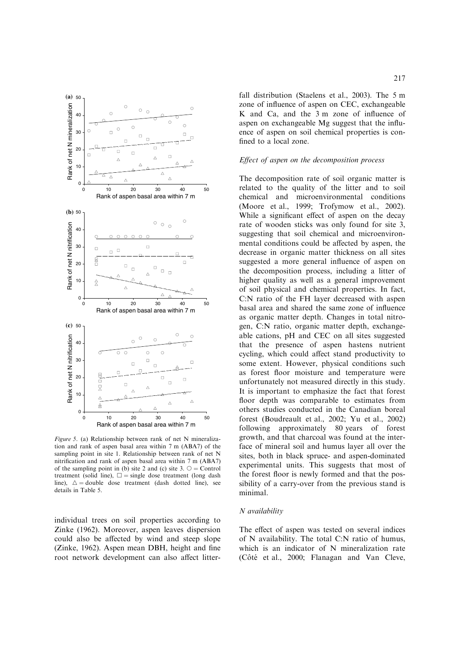

Figure 5. (a) Relationship between rank of net N mineralization and rank of aspen basal area within 7 m (ABA7) of the sampling point in site 1. Relationship between rank of net N nitrification and rank of aspen basal area within 7 m (ABA7) of the sampling point in (b) site 2 and (c) site 3.  $\circ$  = Control treatment (solid line),  $\square$  = single dose treatment (long dash line),  $\Delta$  = double dose treatment (dash dotted line), see details in Table 5.

individual trees on soil properties according to Zinke (1962). Moreover, aspen leaves dispersion could also be affected by wind and steep slope (Zinke, 1962). Aspen mean DBH, height and fine root network development can also affect litterfall distribution (Staelens et al., 2003). The 5 m zone of influence of aspen on CEC, exchangeable K and Ca, and the 3 m zone of influence of aspen on exchangeable Mg suggest that the influence of aspen on soil chemical properties is confined to a local zone.

#### Effect of aspen on the decomposition process

The decomposition rate of soil organic matter is related to the quality of the litter and to soil chemical and microenvironmental conditions (Moore et al., 1999; Trofymow et al., 2002). While a significant effect of aspen on the decay rate of wooden sticks was only found for site 3, suggesting that soil chemical and microenvironmental conditions could be affected by aspen, the decrease in organic matter thickness on all sites suggested a more general influence of aspen on the decomposition process, including a litter of higher quality as well as a general improvement of soil physical and chemical properties. In fact, C:N ratio of the FH layer decreased with aspen basal area and shared the same zone of influence as organic matter depth. Changes in total nitrogen, C:N ratio, organic matter depth, exchangeable cations, pH and CEC on all sites suggested that the presence of aspen hastens nutrient cycling, which could affect stand productivity to some extent. However, physical conditions such as forest floor moisture and temperature were unfortunately not measured directly in this study. It is important to emphasize the fact that forest floor depth was comparable to estimates from others studies conducted in the Canadian boreal forest (Boudreault et al., 2002; Yu et al., 2002) following approximately 80 years of forest growth, and that charcoal was found at the interface of mineral soil and humus layer all over the sites, both in black spruce- and aspen-dominated experimental units. This suggests that most of the forest floor is newly formed and that the possibility of a carry-over from the previous stand is minimal.

#### N availability

The effect of aspen was tested on several indices of N availability. The total C:N ratio of humus, which is an indicator of N mineralization rate (Côté et al., 2000; Flanagan and Van Cleve,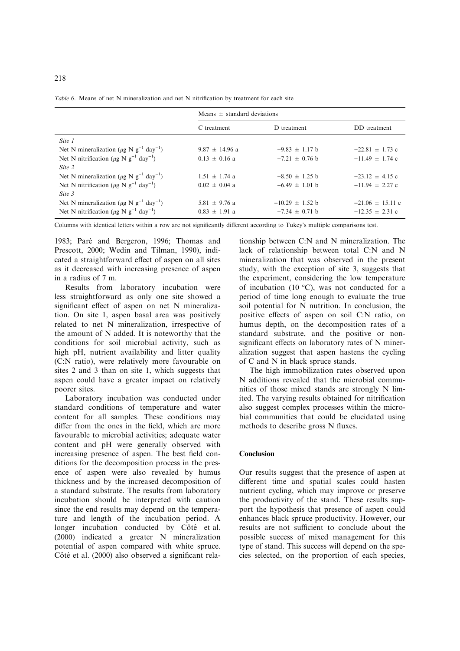|                                                                      | Means $\pm$ standard deviations |                     |                      |  |
|----------------------------------------------------------------------|---------------------------------|---------------------|----------------------|--|
|                                                                      | C treatment                     | D treatment         | DD treatment         |  |
| Site 1                                                               |                                 |                     |                      |  |
| Net N mineralization ( $\mu$ g N g <sup>-1</sup> day <sup>-1</sup> ) | $9.87 \pm 14.96$ a              | $-9.83 \pm 1.17$ b  | $-22.81 \pm 1.73$ c  |  |
| Net N nitrification ( $\mu$ g N g <sup>-1</sup> day <sup>-1</sup> )  | $0.13 \pm 0.16$ a               | $-7.21 \pm 0.76$ b  | $-11.49 \pm 1.74$ c  |  |
| Site 2                                                               |                                 |                     |                      |  |
| Net N mineralization ( $\mu$ g N g <sup>-1</sup> day <sup>-1</sup> ) | $1.51 \pm 1.74$ a               | $-8.50 \pm 1.25$ b  | $-23.12 \pm 4.15$ c  |  |
| Net N nitrification ( $\mu$ g N g <sup>-1</sup> day <sup>-1</sup> )  | $0.02 \pm 0.04$ a               | $-6.49 \pm 1.01$ b  | $-11.94 \pm 2.27$ c  |  |
| Site 3                                                               |                                 |                     |                      |  |
| Net N mineralization ( $\mu$ g N g <sup>-1</sup> day <sup>-1</sup> ) | 5.81 $\pm$ 9.76 a               | $-10.29 \pm 1.52$ b | $-21.06 \pm 15.11$ c |  |
| Net N nitrification ( $\mu$ g N g <sup>-1</sup> day <sup>-1</sup> )  | $0.83 \pm 1.91$ a               | $-7.34 \pm 0.71$ b  | $-12.35 \pm 2.31$ c  |  |

Table 6. Means of net N mineralization and net N nitrification by treatment for each site

Columns with identical letters within a row are not significantly different according to Tukey's multiple comparisons test.

1983; Paré and Bergeron, 1996; Thomas and Prescott, 2000; Wedin and Tilman, 1990), indicated a straightforward effect of aspen on all sites as it decreased with increasing presence of aspen in a radius of 7 m.

Results from laboratory incubation were less straightforward as only one site showed a significant effect of aspen on net N mineralization. On site 1, aspen basal area was positively related to net N mineralization, irrespective of the amount of N added. It is noteworthy that the conditions for soil microbial activity, such as high pH, nutrient availability and litter quality (C:N ratio), were relatively more favourable on sites 2 and 3 than on site 1, which suggests that aspen could have a greater impact on relatively poorer sites.

Laboratory incubation was conducted under standard conditions of temperature and water content for all samples. These conditions may differ from the ones in the field, which are more favourable to microbial activities; adequate water content and pH were generally observed with increasing presence of aspen. The best field conditions for the decomposition process in the presence of aspen were also revealed by humus thickness and by the increased decomposition of a standard substrate. The results from laboratory incubation should be interpreted with caution since the end results may depend on the temperature and length of the incubation period. A longer incubation conducted by Côté et al. (2000) indicated a greater N mineralization potential of aspen compared with white spruce. Côté et al. (2000) also observed a significant relationship between C:N and N mineralization. The lack of relationship between total C:N and N mineralization that was observed in the present study, with the exception of site 3, suggests that the experiment, considering the low temperature of incubation (10  $^{\circ}$ C), was not conducted for a period of time long enough to evaluate the true soil potential for N nutrition. In conclusion, the positive effects of aspen on soil C:N ratio, on humus depth, on the decomposition rates of a standard substrate, and the positive or nonsignificant effects on laboratory rates of N mineralization suggest that aspen hastens the cycling of C and N in black spruce stands.

The high immobilization rates observed upon N additions revealed that the microbial communities of those mixed stands are strongly N limited. The varying results obtained for nitrification also suggest complex processes within the microbial communities that could be elucidated using methods to describe gross N fluxes.

#### Conclusion

Our results suggest that the presence of aspen at different time and spatial scales could hasten nutrient cycling, which may improve or preserve the productivity of the stand. These results support the hypothesis that presence of aspen could enhances black spruce productivity. However, our results are not sufficient to conclude about the possible success of mixed management for this type of stand. This success will depend on the species selected, on the proportion of each species,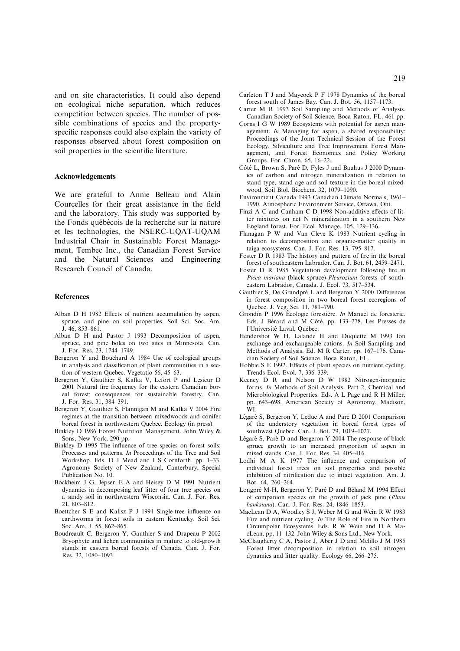and on site characteristics. It could also depend on ecological niche separation, which reduces competition between species. The number of possible combinations of species and the propertyspecific responses could also explain the variety of responses observed about forest composition on soil properties in the scientific literature.

# Acknowledgements

We are grateful to Annie Belleau and Alain Courcelles for their great assistance in the field and the laboratory. This study was supported by the Fonds québécois de la recherche sur la nature et les technologies, the NSERC-UQAT-UQAM Industrial Chair in Sustainable Forest Management, Tembec Inc., the Canadian Forest Service and the Natural Sciences and Engineering Research Council of Canada.

#### References

- Alban D H 1982 Effects of nutrient accumulation by aspen, spruce, and pine on soil properties. Soil Sci. Soc. Am. J. 46, 853–861.
- Alban D H and Pastor J 1993 Decomposition of aspen, spruce, and pine boles on two sites in Minnesota. Can. J. For. Res. 23, 1744–1749.
- Bergeron Y and Bouchard A 1984 Use of ecological groups in analysis and classification of plant communities in a section of western Quebec. Vegetatio 56, 45–63.
- Bergeron Y, Gauthier S, Kafka V, Lefort P and Lesieur D 2001 Natural fire frequency for the eastern Canadian boreal forest: consequences for sustainable forestry. Can. J. For. Res. 31, 384–391.
- Bergeron Y, Gauthier S, Flannigan M and Kafka V 2004 Fire regimes at the transition between mixedwoods and conifer boreal forest in northwestern Quebec. Ecology (in press).
- Binkley D 1986 Forest Nutrition Management. John Wiley & Sons, New York, 290 pp.
- Binkley D 1995 The influence of tree species on forest soils: Processes and patterns. In Proceedings of the Tree and Soil Workshop. Eds. D J Mead and I S Cornforth. pp. 1–33. Agronomy Society of New Zealand, Canterbury, Special Publication No. 10.
- Bockheim J G, Jepsen E A and Heisey D M 1991 Nutrient dynamics in decomposing leaf litter of four tree species on a sandy soil in northwestern Wisconsin. Can. J. For. Res. 21, 803–812.
- Boettcher S E and Kalisz P J 1991 Single-tree influence on earthworms in forest soils in eastern Kentucky. Soil Sci. Soc. Am. J. 55, 862–865.
- Boudreault C, Bergeron Y, Gauthier S and Drapeau P 2002 Bryophyte and lichen communities in mature to old-growth stands in eastern boreal forests of Canada. Can. J. For. Res. 32, 1080–1093.
- Carleton T J and Maycock P F 1978 Dynamics of the boreal forest south of James Bay. Can. J. Bot. 56, 1157–1173.
- Carter M R 1993 Soil Sampling and Methods of Analysis. Canadian Society of Soil Science, Boca Raton, FL. 461 pp.
- Corns I G W 1989 Ecosystems with potential for aspen management. In Managing for aspen, a shared responsibility: Proceedings of the Joint Technical Session of the Forest Ecology, Silviculture and Tree Improvement Forest Management, and Forest Economics and Policy Working Groups. For. Chron. 65, 16–22.
- Côté L, Brown S, Paré D, Fyles J and Bauhus J 2000 Dynamics of carbon and nitrogen mineralization in relation to stand type, stand age and soil texture in the boreal mixedwood. Soil Biol. Biochem. 32, 1079–1090.
- Environment Canada 1993 Canadian Climate Normals, 1961– 1990. Atmospheric Environment Service, Ottawa, Ont.
- Finzi A C and Canham C D 1998 Non-additive effects of litter mixtures on net N mineralization in a southern New England forest. For. Ecol. Manage. 105, 129–136.
- Flanagan P W and Van Cleve K 1983 Nutrient cycling in relation to decomposition and organic-matter quality in taiga ecosystems. Can. J. For. Res. 13, 795–817.
- Foster D R 1983 The history and pattern of fire in the boreal forest of southeastern Labrador. Can. J. Bot. 61, 2459–2471.
- Foster D R 1985 Vegetation development following fire in Picea mariana (black spruce)-Pleurozium forests of southeastern Labrador, Canada. J. Ecol. 73, 517–534.
- Gauthier S, De Grandpré L and Bergeron Y 2000 Differences in forest composition in two boreal forest ecoregions of Quebec. J. Veg. Sci. 11, 781–790.
- Grondin P 1996 Écologie forestière. In Manuel de foresterie. Eds. J Bérard and M Côté. pp. 133–278. Les Presses de l'Université Laval, Québec.
- Hendershot W H, Lalande H and Duquette M 1993 Ion exchange and exchangeable cations. In Soil Sampling and Methods of Analysis. Ed. M R Carter. pp. 167–176. Canadian Society of Soil Science. Boca Raton, FL.
- Hobbie S E 1992. Effects of plant species on nutrient cycling. Trends Ecol. Evol. 7, 336–339.
- Keeney D R and Nelson D W 1982 Nitrogen-inorganic forms. In Methods of Soil Analysis. Part 2, Chemical and Microbiological Properties. Eds. A L Page and R H Miller. pp. 643–698. American Society of Agronomy, Madison, WI.
- Légaré S, Bergeron Y, Leduc A and Paré D 2001 Comparison of the understory vegetation in boreal forest types of southwest Quebec. Can. J. Bot. 79, 1019–1027.
- Légaré S, Paré D and Bergeron Y 2004 The response of black spruce growth to an increased proportion of aspen in mixed stands. Can. J. For. Res. 34, 405–416.
- Lodhi M A K 1977 The influence and comparison of individual forest trees on soil properties and possible inhibition of nitrification due to intact vegetation. Am. J. Bot. 64, 260–264.
- Longpré M-H, Bergeron Y, Paré D and Béland M 1994 Effect of companion species on the growth of jack pine (Pinus banksiana). Can. J. For. Res. 24, 1846–1853.
- MacLean D A, Woodley S J, Weber M G and Wein R W 1983 Fire and nutrient cycling. In The Role of Fire in Northern Circumpolar Ecosystems. Eds. R W Wein and D A MacLean. pp. 11–132. John Wiley & Sons Ltd., New York.
- McClaugherty C A, Pastor J, Aber J D and Melillo J M 1985 Forest litter decomposition in relation to soil nitrogen dynamics and litter quality. Ecology 66, 266–275.